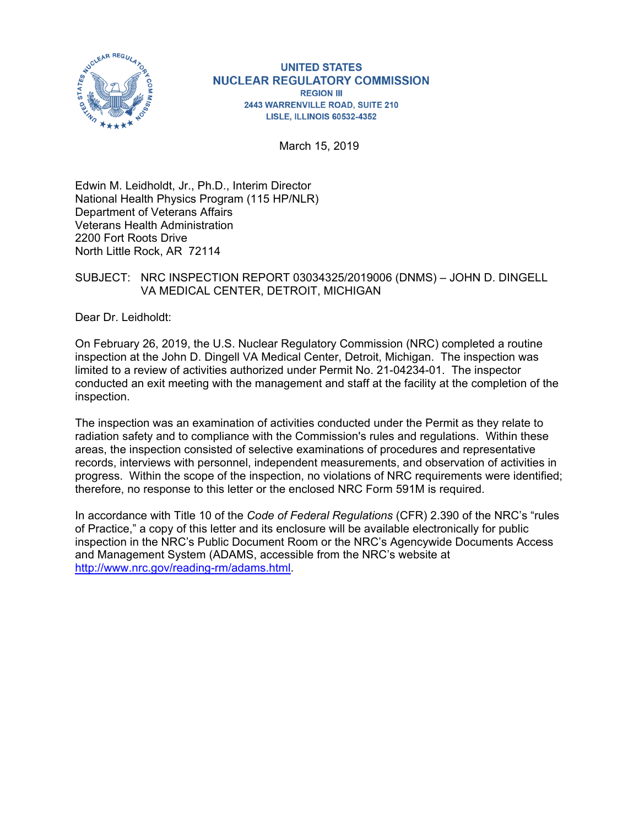

#### **UNITED STATES NUCLEAR REGULATORY COMMISSION REGION III** 2443 WARRENVILLE ROAD, SUITE 210 **LISLE, ILLINOIS 60532-4352**

March 15, 2019

Edwin M. Leidholdt, Jr., Ph.D., Interim Director National Health Physics Program (115 HP/NLR) Department of Veterans Affairs Veterans Health Administration 2200 Fort Roots Drive North Little Rock, AR 72114

### SUBJECT: NRC INSPECTION REPORT 03034325/2019006 (DNMS) – JOHN D. DINGELL VA MEDICAL CENTER, DETROIT, MICHIGAN

Dear Dr. Leidholdt:

On February 26, 2019, the U.S. Nuclear Regulatory Commission (NRC) completed a routine inspection at the John D. Dingell VA Medical Center, Detroit, Michigan. The inspection was limited to a review of activities authorized under Permit No. 21-04234-01. The inspector conducted an exit meeting with the management and staff at the facility at the completion of the inspection.

The inspection was an examination of activities conducted under the Permit as they relate to radiation safety and to compliance with the Commission's rules and regulations. Within these areas, the inspection consisted of selective examinations of procedures and representative records, interviews with personnel, independent measurements, and observation of activities in progress. Within the scope of the inspection, no violations of NRC requirements were identified; therefore, no response to this letter or the enclosed NRC Form 591M is required.

In accordance with Title 10 of the *Code of Federal Regulations* (CFR) 2.390 of the NRC's "rules of Practice," a copy of this letter and its enclosure will be available electronically for public inspection in the NRC's Public Document Room or the NRC's Agencywide Documents Access and Management System (ADAMS, accessible from the NRC's website at http://www.nrc.gov/reading-rm/adams.html.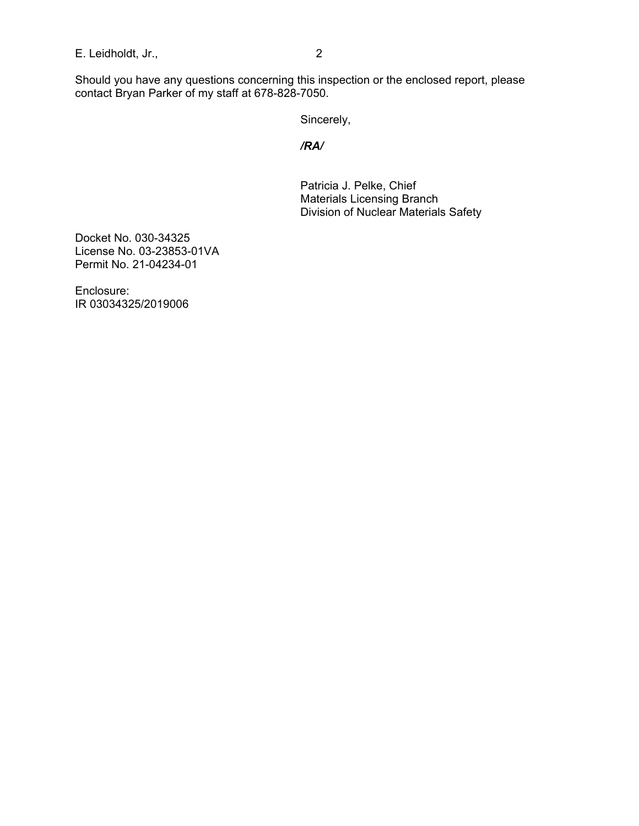E. Leidholdt, Jr., 2

Should you have any questions concerning this inspection or the enclosed report, please contact Bryan Parker of my staff at 678-828-7050.

Sincerely,

*/RA/* 

Patricia J. Pelke, Chief Materials Licensing Branch Division of Nuclear Materials Safety

Docket No. 030-34325 License No. 03-23853-01VA Permit No. 21-04234-01

Enclosure: IR 03034325/2019006